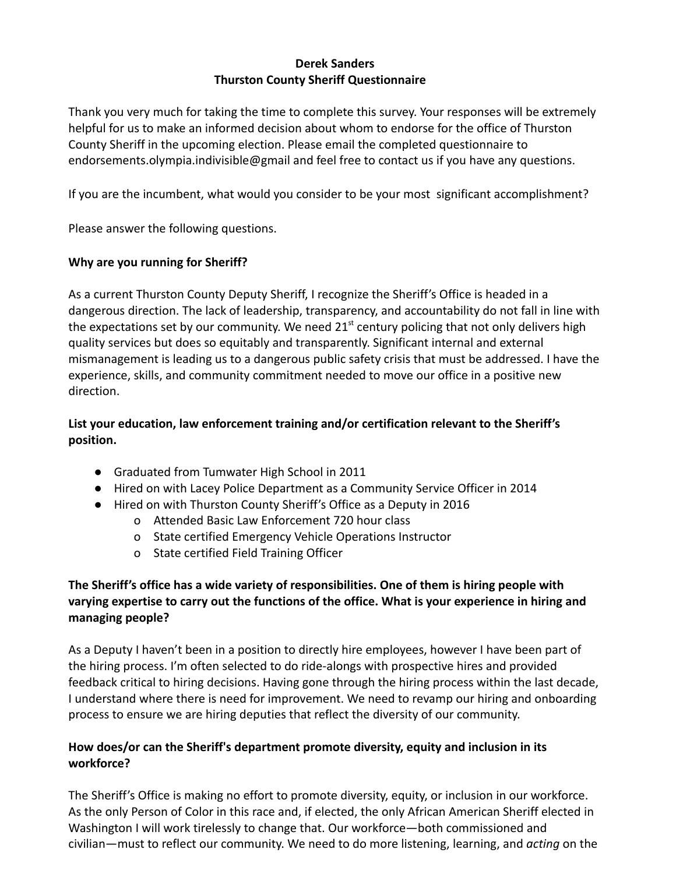#### **Derek Sanders Thurston County Sheriff Questionnaire**

Thank you very much for taking the time to complete this survey. Your responses will be extremely helpful for us to make an informed decision about whom to endorse for the office of Thurston County Sheriff in the upcoming election. Please email the completed questionnaire to endorsements.olympia.indivisible@gmail and feel free to contact us if you have any questions.

If you are the incumbent, what would you consider to be your most significant accomplishment?

Please answer the following questions.

#### **Why are you running for Sheriff?**

As a current Thurston County Deputy Sheriff, I recognize the Sheriff's Office is headed in a dangerous direction. The lack of leadership, transparency, and accountability do not fall in line with the expectations set by our community. We need  $21<sup>st</sup>$  century policing that not only delivers high quality services but does so equitably and transparently. Significant internal and external mismanagement is leading us to a dangerous public safety crisis that must be addressed. I have the experience, skills, and community commitment needed to move our office in a positive new direction.

# **List your education, law enforcement training and/or certification relevant to the Sheriff's position.**

- Graduated from Tumwater High School in 2011
- Hired on with Lacey Police Department as a Community Service Officer in 2014
- Hired on with Thurston County Sheriff's Office as a Deputy in 2016
	- o Attended Basic Law Enforcement 720 hour class
	- o State certified Emergency Vehicle Operations Instructor
	- o State certified Field Training Officer

# **The Sheriff's office has a wide variety of responsibilities. One of them is hiring people with varying expertise to carry out the functions of the office. What is your experience in hiring and managing people?**

As a Deputy I haven't been in a position to directly hire employees, however I have been part of the hiring process. I'm often selected to do ride-alongs with prospective hires and provided feedback critical to hiring decisions. Having gone through the hiring process within the last decade, I understand where there is need for improvement. We need to revamp our hiring and onboarding process to ensure we are hiring deputies that reflect the diversity of our community.

# **How does/or can the Sheriff's department promote diversity, equity and inclusion in its workforce?**

The Sheriff's Office is making no effort to promote diversity, equity, or inclusion in our workforce. As the only Person of Color in this race and, if elected, the only African American Sheriff elected in Washington I will work tirelessly to change that. Our workforce—both commissioned and civilian—must to reflect our community. We need to do more listening, learning, and *acting* on the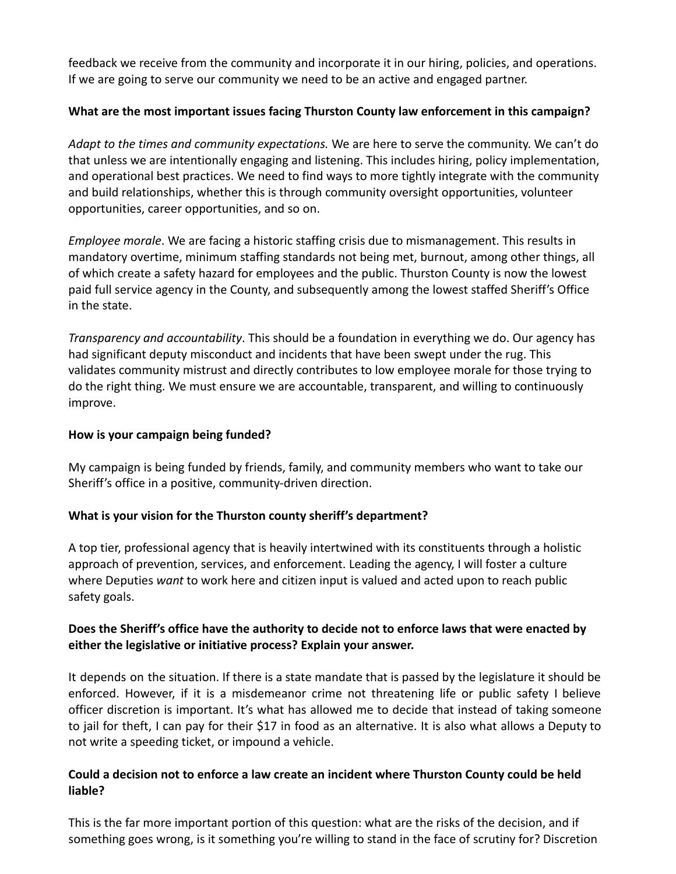feedback we receive from the community and incorporate it in our hiring, policies, and operations. If we are going to serve our community we need to be an active and engaged partner.

### **What are the most important issues facing Thurston County law enforcement in this campaign?**

*Adapt to the times and community expectations.* We are here to serve the community. We can't do that unless we are intentionally engaging and listening. This includes hiring, policy implementation, and operational best practices. We need to find ways to more tightly integrate with the community and build relationships, whether this is through community oversight opportunities, volunteer opportunities, career opportunities, and so on.

*Employee morale*. We are facing a historic staffing crisis due to mismanagement. This results in mandatory overtime, minimum staffing standards not being met, burnout, among other things, all of which create a safety hazard for employees and the public. Thurston County is now the lowest paid full service agency in the County, and subsequently among the lowest staffed Sheriff's Office in the state.

*Transparency and accountability*. This should be a foundation in everything we do. Our agency has had significant deputy misconduct and incidents that have been swept under the rug. This validates community mistrust and directly contributes to low employee morale for those trying to do the right thing. We must ensure we are accountable, transparent, and willing to continuously improve.

### **How is your campaign being funded?**

My campaign is being funded by friends, family, and community members who want to take our Sheriff's office in a positive, community-driven direction.

### **What is your vision for the Thurston county sheriff's department?**

A top tier, professional agency that is heavily intertwined with its constituents through a holistic approach of prevention, services, and enforcement. Leading the agency, I will foster a culture where Deputies *want* to work here and citizen input is valued and acted upon to reach public safety goals.

# **Does the Sheriff's office have the authority to decide not to enforce laws that were enacted by either the legislative or initiative process? Explain your answer.**

It depends on the situation. If there is a state mandate that is passed by the legislature it should be enforced. However, if it is a misdemeanor crime not threatening life or public safety I believe officer discretion is important. It's what has allowed me to decide that instead of taking someone to jail for theft, I can pay for their \$17 in food as an alternative. It is also what allows a Deputy to not write a speeding ticket, or impound a vehicle.

### **Could a decision not to enforce a law create an incident where Thurston County could be held liable?**

This is the far more important portion of this question: what are the risks of the decision, and if something goes wrong, is it something you're willing to stand in the face of scrutiny for? Discretion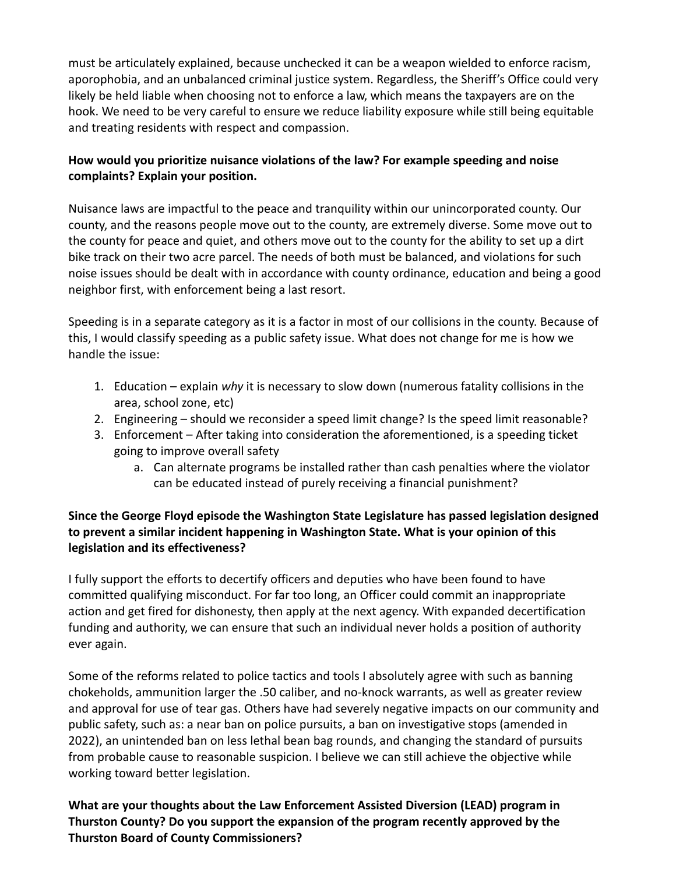must be articulately explained, because unchecked it can be a weapon wielded to enforce racism, aporophobia, and an unbalanced criminal justice system. Regardless, the Sheriff's Office could very likely be held liable when choosing not to enforce a law, which means the taxpayers are on the hook. We need to be very careful to ensure we reduce liability exposure while still being equitable and treating residents with respect and compassion.

# **How would you prioritize nuisance violations of the law? For example speeding and noise complaints? Explain your position.**

Nuisance laws are impactful to the peace and tranquility within our unincorporated county. Our county, and the reasons people move out to the county, are extremely diverse. Some move out to the county for peace and quiet, and others move out to the county for the ability to set up a dirt bike track on their two acre parcel. The needs of both must be balanced, and violations for such noise issues should be dealt with in accordance with county ordinance, education and being a good neighbor first, with enforcement being a last resort.

Speeding is in a separate category as it is a factor in most of our collisions in the county. Because of this, I would classify speeding as a public safety issue. What does not change for me is how we handle the issue:

- 1. Education explain *why* it is necessary to slow down (numerous fatality collisions in the area, school zone, etc)
- 2. Engineering should we reconsider a speed limit change? Is the speed limit reasonable?
- 3. Enforcement After taking into consideration the aforementioned, is a speeding ticket going to improve overall safety
	- a. Can alternate programs be installed rather than cash penalties where the violator can be educated instead of purely receiving a financial punishment?

# **Since the George Floyd episode the Washington State Legislature has passed legislation designed to prevent a similar incident happening in Washington State. What is your opinion of this legislation and its effectiveness?**

I fully support the efforts to decertify officers and deputies who have been found to have committed qualifying misconduct. For far too long, an Officer could commit an inappropriate action and get fired for dishonesty, then apply at the next agency. With expanded decertification funding and authority, we can ensure that such an individual never holds a position of authority ever again.

Some of the reforms related to police tactics and tools I absolutely agree with such as banning chokeholds, ammunition larger the .50 caliber, and no-knock warrants, as well as greater review and approval for use of tear gas. Others have had severely negative impacts on our community and public safety, such as: a near ban on police pursuits, a ban on investigative stops (amended in 2022), an unintended ban on less lethal bean bag rounds, and changing the standard of pursuits from probable cause to reasonable suspicion. I believe we can still achieve the objective while working toward better legislation.

**What are your thoughts about the Law Enforcement Assisted Diversion (LEAD) program in Thurston County? Do you support the expansion of the program recently approved by the Thurston Board of County Commissioners?**